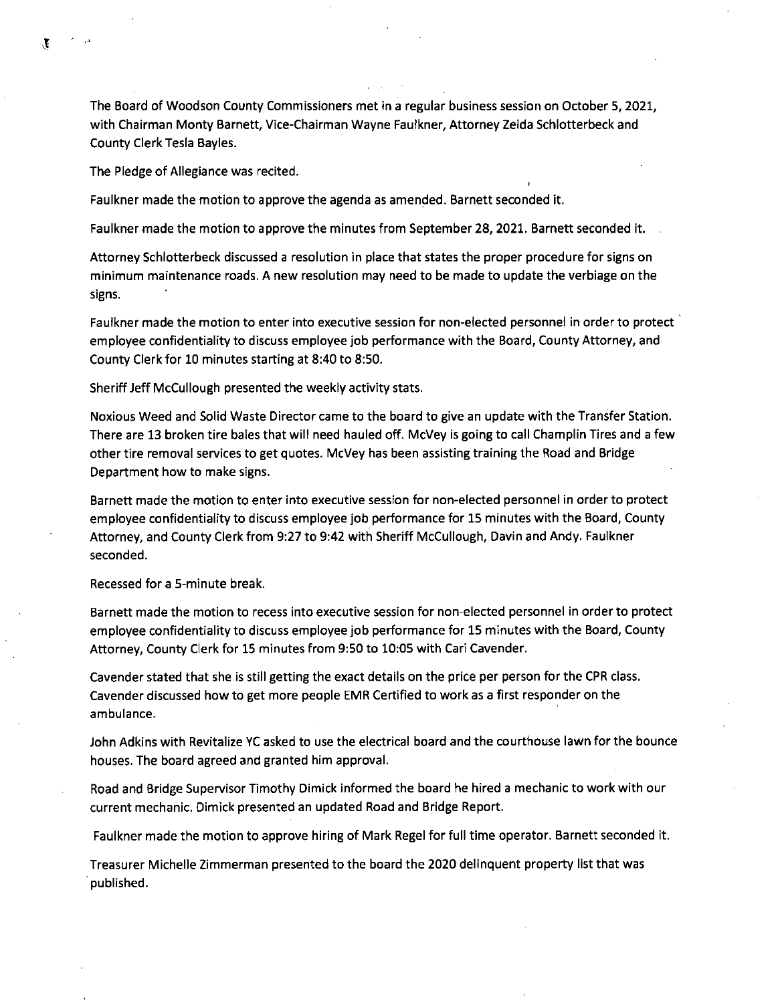The Board of Woodson County Commissioners met in a regular business session on October 5,2021, with Chairman Monty Barnett, Vice-Chairman Wayne Faulkner, Attorney Zelda Schlotterbeck and County Clerk Tesla Bayles.

The Pledge of Allegiance was recited.

Faulkner made the motion to approve the agenda as amended. Barnett seconded it.

Faulkner made the motion to approve the minutes from September 28, 2021. Barnett seconded it.

Attorney Schlotterbeck discussed a resolution in place that states the proper procedure for signs on minimum maintenance roads. A new resolution may need to be made to update the verbiage on the signs.

Faulkner made the motion to enter into executive session for non-elected personnel in order to protect employee confidentiality to discuss employee job performance with the Board, County Attorney, and County Clerk for 10 minutes starting at 8:40 to 8:50.

Sheriff Jeff McCullough presented the weekly activity stats.

Noxious Weed and Solid Waste Director came to the board to give an update with the Transfer Station. There are 13 broken tire bales that will need hauled off. McVey is going to call Champlin Tires and a few other tire removal services to get quotes. McVey has been assisting training the Road and Bridge Department how to make signs.

Barnett made the motion to enter into executive session for non-elected personnel in order to protect employee confidentiality to discuss employee job performance for 15 minutes with the Board, County Attorney, and County Clerk from 9:27 to 9:42 with Sheriff McCullough, Davin and Andy. Faulkner seconded.

Recessed for a 5-minute break.

Barnett made the motion to recess into executive session for non-elected personnel in order to protect employee confidentiality to discuss employee job performance for 15 minutes with the Board, County Attorney, County Clerk for 15 minutes from 9:50 to 10:05 with Cari Cavender.

Cavender stated that she is still getting the exact details on the price per person for the CPR class. Cavender discussed how to get more people EMR Certified to work as a first responder on the ambulance.

John Adkins with Revitalize YC asked to use the electrical board and the courthouse lawn for the bounce houses. The board agreed and granted him approval.

Road and Bridge Supervisor Timothy Dimick informed the board he hired a mechanic to work with our current mechanic. Dimick presented an updated Road and Bridge Report.

Faulkner made the motion to approve hiring of Mark Regel for full time operator. Barnett seconded it.

Treasurer Michelle Zimmerman presented to the board the 2020 delinquent property list that was published.